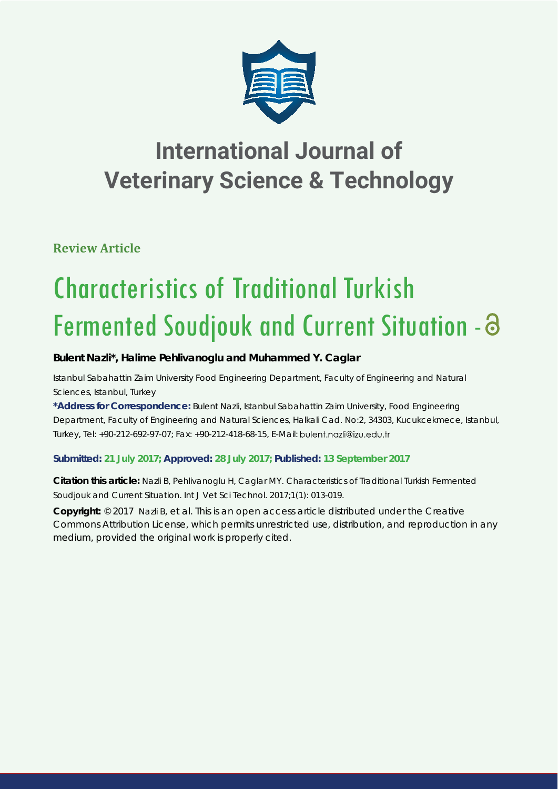

# **International Journal of Veterinary Science & Technology**

**Review Article**

# Characteristics of Traditional Turkish Fermented Soudjouk and Current Situation -

## **Bulent Nazli\*, Halime Pehlivanoglu and Muhammed Y. Caglar**

*Istanbul Sabahattin Zaim University Food Engineering Department, Faculty of Engineering and Natural Sciences, Istanbul, Turkey*

**\*Address for Correspondence:** Bulent Nazli, Istanbul Sabahattin Zaim University, Food Engineering Department, Faculty of Engineering and Natural Sciences, Halkali Cad. No:2, 34303, Kucukcekmece, Istanbul, Turkey, Tel: +90-212-692-97-07; Fax: +90-212-418-68-15, E-Mail:

### **Submitted: 21 July 2017; Approved: 28 July 2017; Published: 13 September 2017**

**Citation this article:** Nazli B, Pehlivanoglu H, Caglar MY. Characteristics of Traditional Turkish Fermented Soudjouk and Current Situation. Int J Vet Sci Technol. 2017;1(1): 013-019.

**Copyright:** © 2017 Nazli B, et al. This is an open access article distributed under the Creative Commons Attribution License, which permits unrestricted use, distribution, and reproduction in any medium, provided the original work is properly cited.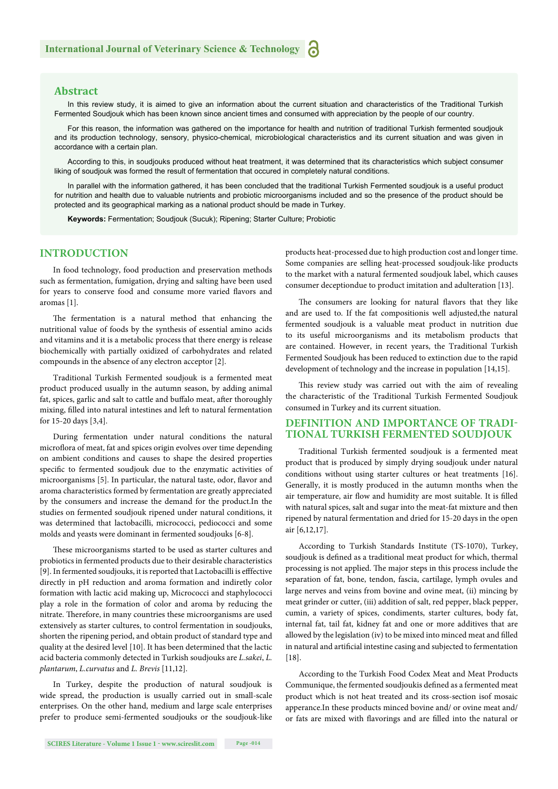#### **Abstract**

In this review study, it is aimed to give an information about the current situation and characteristics of the Traditional Turkish Fermented Soudjouk which has been known since ancient times and consumed with appreciation by the people of our country.

For this reason, the information was gathered on the importance for health and nutrition of traditional Turkish fermented soudjouk and its production technology, sensory, physico-chemical, microbiological characteristics and its current situation and was given in accordance with a certain plan.

According to this, in soudjouks produced without heat treatment, it was determined that its characteristics which subject consumer liking of soudjouk was formed the result of fermentation that occured in completely natural conditions.

In parallel with the information gathered, it has been concluded that the traditional Turkish Fermented soudjouk is a useful product for nutrition and health due to valuable nutrients and probiotic microorganisms included and so the presence of the product should be protected and its geographical marking as a national product should be made in Turkey.

**Keywords:** Fermentation; Soudjouk (Sucuk); Ripening; Starter Culture; Probiotic

#### **INTRODUCTION**

In food technology, food production and preservation methods such as fermentation, fumigation, drying and salting have been used for years to conserve food and consume more varied flavors and aromas [1].

The fermentation is a natural method that enhancing the nutritional value of foods by the synthesis of essential amino acids and vitamins and it is a metabolic process that there energy is release biochemically with partially oxidized of carbohydrates and related compounds in the absence of any electron acceptor [2].

Traditional Turkish Fermented soudjouk is a fermented meat product produced usually in the autumn season, by adding animal fat, spices, garlic and salt to cattle and buffalo meat, after thoroughly mixing, filled into natural intestines and left to natural fermentation for 15-20 days [3,4].

During fermentation under natural conditions the natural microflora of meat, fat and spices origin evolves over time depending on ambient conditions and causes to shape the desired properties specific to fermented soudjouk due to the enzymatic activities of microorganisms [5]. In particular, the natural taste, odor, flavor and aroma characteristics formed by fermentation are greatly appreciated by the consumers and increase the demand for the product.In the studies on fermented soudjouk ripened under natural conditions, it was determined that lactobacilli, micrococci, pediococci and some molds and yeasts were dominant in fermented soudjouks [6-8].

These microorganisms started to be used as starter cultures and probiotics in fermented products due to their desirable characteristics [9]. In fermented soudjouks, it is reported that Lactobacilli is effective directly in pH reduction and aroma formation and indiretly color formation with lactic acid making up, Micrococci and staphylococci play a role in the formation of color and aroma by reducing the nitrate. Therefore, in many countries these microorganisms are used extensively as starter cultures, to control fermentation in soudjouks, shorten the ripening period, and obtain product of standard type and quality at the desired level [10]. It has been determined that the lactic acid bacteria commonly detected in Turkish soudjouks are *L.sakei*, *L. plantarum*, *L.curvatus* and *L. Brevis* [11,12].

In Turkey, despite the production of natural soudjouk is wide spread, the production is usually carried out in small-scale enterprises. On the other hand, medium and large scale enterprises prefer to produce semi-fermented soudjouks or the soudjouk-like products heat-processed due to high production cost and longer time. Some companies are selling heat-processed soudjouk-like products to the market with a natural fermented soudjouk label, which causes consumer deceptiondue to product imitation and adulteration [13].

The consumers are looking for natural flavors that they like and are used to. If the fat compositionis well adjusted,the natural fermented soudjouk is a valuable meat product in nutrition due to its useful microorganisms and its metabolism products that are contained. However, in recent years, the Traditional Turkish Fermented Soudjouk has been reduced to extinction due to the rapid development of technology and the increase in population [14,15].

This review study was carried out with the aim of revealing the characteristic of the Traditional Turkish Fermented Soudjouk consumed in Turkey and its current situation.

#### **DEFINITION AND IMPORTANCE OF TRADI-TIONAL TURKISH FERMENTED SOUDJOUK**

Traditional Turkish fermented soudjouk is a fermented meat product that is produced by simply drying soudjouk under natural conditions without using starter cultures or heat treatments [16]. Generally, it is mostly produced in the autumn months when the air temperature, air flow and humidity are most suitable. It is filled with natural spices, salt and sugar into the meat-fat mixture and then ripened by natural fermentation and dried for 15-20 days in the open air [6,12,17].

According to Turkish Standards Institute (TS-1070), Turkey, soudjouk is defined as a traditional meat product for which, thermal processing is not applied. The major steps in this process include the separation of fat, bone, tendon, fascia, cartilage, lymph ovules and large nerves and veins from bovine and ovine meat, (ii) mincing by meat grinder or cutter, (iii) addition of salt, red pepper, black pepper, cumin, a variety of spices, condiments, starter cultures, body fat, internal fat, tail fat, kidney fat and one or more additives that are allowed by the legislation (iv) to be mixed into minced meat and filled in natural and artificial intestine casing and subjected to fermentation [18].

According to the Turkish Food Codex Meat and Meat Products Communique, the fermented soudjoukis defined as a fermented meat product which is not heat treated and its cross-section isof mosaic apperance.In these products minced bovine and/ or ovine meat and/ or fats are mixed with flavorings and are filled into the natural or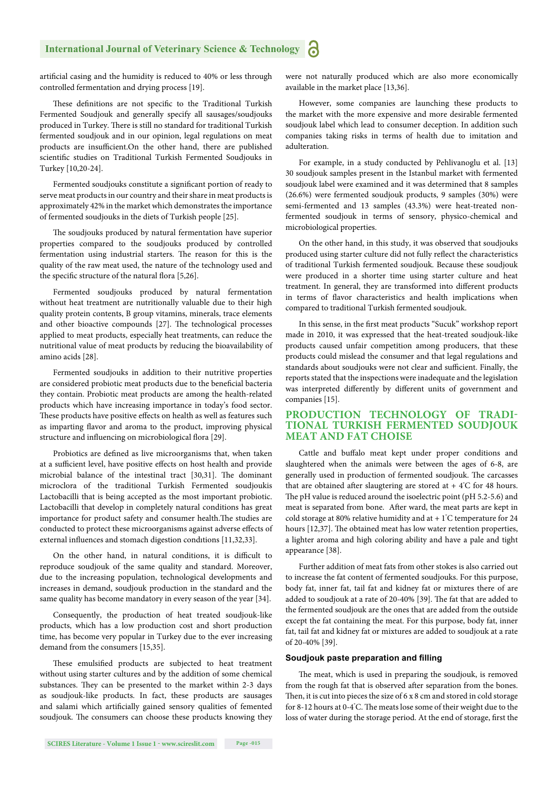artificial casing and the humidity is reduced to 40% or less through controlled fermentation and drying process [19].

These definitions are not specific to the Traditional Turkish Fermented Soudjouk and generally specify all sausages/soudjouks produced in Turkey. There is still no standard for traditional Turkish fermented soudjouk and in our opinion, legal regulations on meat products are insufficient.On the other hand, there are published scientific studies on Traditional Turkish Fermented Soudjouks in Turkey [10,20-24].

Fermented soudjouks constitute a significant portion of ready to serve meat products in our country and their share in meat products is approximately 42% in the market which demonstrates the importance of fermented soudjouks in the diets of Turkish people [25].

The soudjouks produced by natural fermentation have superior properties compared to the soudjouks produced by controlled fermentation using industrial starters. The reason for this is the quality of the raw meat used, the nature of the technology used and the specific structure of the natural flora [5,26].

Fermented soudjouks produced by natural fermentation without heat treatment are nutritionally valuable due to their high quality protein contents, B group vitamins, minerals, trace elements and other bioactive compounds [27]. The technological processes applied to meat products, especially heat treatments, can reduce the nutritional value of meat products by reducing the bioavailability of amino acids [28].

Fermented soudjouks in addition to their nutritive properties are considered probiotic meat products due to the beneficial bacteria they contain. Probiotic meat products are among the health-related products which have increasing importance in today's food sector. These products have positive effects on health as well as features such as imparting flavor and aroma to the product, improving physical structure and influencing on microbiological flora [29].

Probiotics are defined as live microorganisms that, when taken at a sufficient level, have positive effects on host health and provide microbial balance of the intestinal tract [30,31]. The dominant microclora of the traditional Turkish Fermented soudjoukis Lactobacilli that is being accepted as the most important probiotic. Lactobacilli that develop in completely natural conditions has great importance for product safety and consumer health. The studies are conducted to protect these microorganisms against adverse effects of external influences and stomach digestion conditions [11,32,33].

On the other hand, in natural conditions, it is difficult to reproduce soudjouk of the same quality and standard. Moreover, due to the increasing population, technological developments and increases in demand, soudjouk production in the standard and the same quality has become mandatory in every season of the year [34].

Consequently, the production of heat treated soudjouk-like products, which has a low production cost and short production time, has become very popular in Turkey due to the ever increasing demand from the consumers [15,35].

These emulsified products are subjected to heat treatment without using starter cultures and by the addition of some chemical substances. They can be presented to the market within 2-3 days as soudjouk-like products. In fact, these products are sausages and salami which artificially gained sensory qualities of femented soudjouk. The consumers can choose these products knowing they were not naturally produced which are also more economically available in the market place [13,36].

However, some companies are launching these products to the market with the more expensive and more desirable fermented soudjouk label which lead to consumer deception. In addition such companies taking risks in terms of health due to imitation and adulteration.

For example, in a study conducted by Pehlivanoglu et al. [13] 30 soudjouk samples present in the Istanbul market with fermented soudjouk label were examined and it was determined that 8 samples (26.6%) were fermented soudjouk products, 9 samples (30%) were semi-fermented and 13 samples (43.3%) were heat-treated nonfermented soudjouk in terms of sensory, physico-chemical and microbiological properties.

On the other hand, in this study, it was observed that soudjouks produced using starter culture did not fully reflect the characteristics of traditional Turkish fermented soudjouk. Because these soudjouk were produced in a shorter time using starter culture and heat treatment. In general, they are transformed into different products in terms of flavor characteristics and health implications when compared to traditional Turkish fermented soudjouk.

In this sense, in the first meat products "Sucuk" workshop report made in 2010, it was expressed that the heat-treated soudjouk-like products caused unfair competition among producers, that these products could mislead the consumer and that legal regulations and standards about soudjouks were not clear and sufficient. Finally, the reports stated that the inspections were inadequate and the legislation was interpreted differently by different units of government and companies [15].

#### **PRODUCTION TECHNOLOGY OF TRADI-TIONAL TURKISH FERMENTED SOUDJOUK MEAT AND FAT CHOISE**

Cattle and buffalo meat kept under proper conditions and slaughtered when the animals were between the ages of 6-8, are generally used in production of fermented soudjouk. The carcasses that are obtained after slaugtering are stored at  $+4^{\circ}$ C for 48 hours. The pH value is reduced around the isoelectric point (pH 5.2-5.6) and meat is separated from bone. After ward, the meat parts are kept in cold storage at 80% relative humidity and at  $+1^{\circ}$ C temperature for 24 hours [12,37]. The obtained meat has low water retention properties, a lighter aroma and high coloring ability and have a pale and tight appearance [38].

Further addition of meat fats from other stokes is also carried out to increase the fat content of fermented soudjouks. For this purpose, body fat, inner fat, tail fat and kidney fat or mixtures there of are added to soudjouk at a rate of 20-40% [39]. The fat that are added to the fermented soudjouk are the ones that are added from the outside except the fat containing the meat. For this purpose, body fat, inner fat, tail fat and kidney fat or mixtures are added to soudjouk at a rate of 20-40% [39].

#### **Soudjouk paste preparation and filling**

The meat, which is used in preparing the soudjouk, is removed from the rough fat that is observed after separation from the bones. Then, it is cut into pieces the size of  $6 \times 8$  cm and stored in cold storage for 8-12 hours at 0-4°C. The meats lose some of their weight due to the loss of water during the storage period. At the end of storage, first the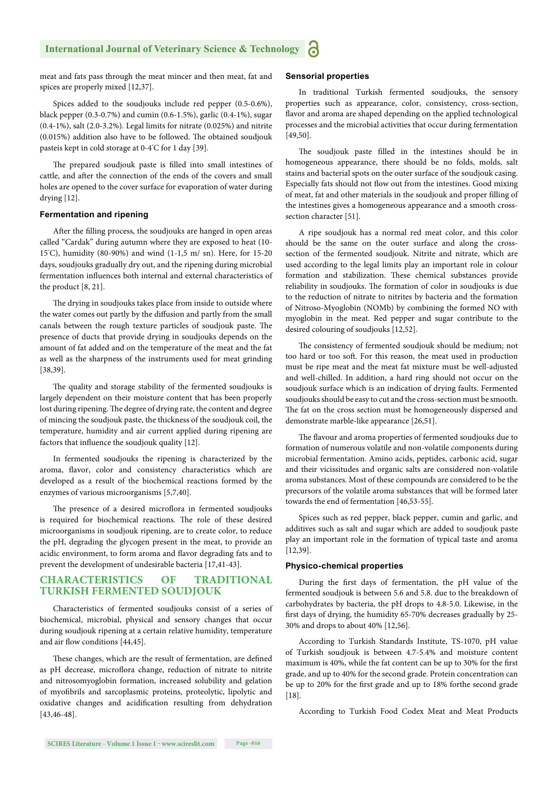meat and fats pass through the meat mincer and then meat, fat and spices are properly mixed [12,37].

Spices added to the soudjouks include red pepper (0.5-0.6%), black pepper (0.3-0.7%) and cumin (0.6-1.5%), garlic (0.4-1%), sugar (0.4-1%), salt (2.0-3.2%). Legal limits for nitrate (0.025%) and nitrite  $(0.015%)$  addition also have to be followed. The obtained soudjouk pasteis kept in cold storage at 0-4° C for 1 day [39].

The prepared soudjouk paste is filled into small intestines of cattle, and after the connection of the ends of the covers and small holes are opened to the cover surface for evaporation of water during drying [12].

#### **Fermentation and ripening**

After the filling process, the soudjouks are hanged in open areas called "Cardak" during autumn where they are exposed to heat (10- 15° C), humidity (80-90%) and wind (1-1,5 m/ sn). Here, for 15-20 days, soudjouks gradually dry out, and the ripening during microbial fermentation influences both internal and external characteristics of the product [8, 21].

The drying in soudjouks takes place from inside to outside where the water comes out partly by the diffusion and partly from the small canals between the rough texture particles of soudjouk paste. The presence of ducts that provide drying in soudjouks depends on the amount of fat added and on the temperature of the meat and the fat as well as the sharpness of the instruments used for meat grinding [38,39].

The quality and storage stability of the fermented soudjouks is largely dependent on their moisture content that has been properly lost during ripening. The degree of drying rate, the content and degree of mincing the soudjouk paste, the thickness of the soudjouk coil, the temperature, humidity and air current applied during ripening are factors that influence the soudjouk quality [12].

In fermented soudjouks the ripening is characterized by the aroma, flavor, color and consistency characteristics which are developed as a result of the biochemical reactions formed by the enzymes of various microorganisms [5,7,40].

The presence of a desired microflora in fermented soudjouks is required for biochemical reactions. The role of these desired microorganisms in soudjouk ripening, are to create color, to reduce the pH, degrading the glycogen present in the meat, to provide an acidic environment, to form aroma and flavor degrading fats and to prevent the development of undesirable bacteria [17,41-43].

#### **CHARACTERISTICS OF TRADITIONAL TURKISH FERMENTED SOUDJOUK**

Characteristics of fermented soudjouks consist of a series of biochemical, microbial, physical and sensory changes that occur during soudjouk ripening at a certain relative humidity, temperature and air flow conditions [44,45].

These changes, which are the result of fermentation, are defined as pH decrease, microflora change, reduction of nitrate to nitrite and nitrosomyoglobin formation, increased solubility and gelation of myofibrils and sarcoplasmic proteins, proteolytic, lipolytic and oxidative changes and acidification resulting from dehydration [43,46-48].

#### **Sensorial properties**

In traditional Turkish fermented soudjouks, the sensory properties such as appearance, color, consistency, cross-section, flavor and aroma are shaped depending on the applied technological processes and the microbial activities that occur during fermentation [49,50].

The soudjouk paste filled in the intestines should be in homogeneous appearance, there should be no folds, molds, salt stains and bacterial spots on the outer surface of the soudjouk casing. Especially fats should not flow out from the intestines. Good mixing of meat, fat and other materials in the soudjouk and proper filling of the intestines gives a homogeneous appearance and a smooth crosssection character [51].

A ripe soudjouk has a normal red meat color, and this color should be the same on the outer surface and along the crosssection of the fermented soudjouk. Nitrite and nitrate, which are used according to the legal limits play an important role in colour formation and stabilization. These chemical substances provide reliability in soudjouks. The formation of color in soudjouks is due to the reduction of nitrate to nitrites by bacteria and the formation of Nitroso-Myoglobin (NOMb) by combining the formed NO with myoglobin in the meat. Red pepper and sugar contribute to the desired colouring of soudjouks [12,52].

The consistency of fermented soudjouk should be medium; not too hard or too soft. For this reason, the meat used in production must be ripe meat and the meat fat mixture must be well-adjusted and well-chilled. In addition, a hard ring should not occur on the soudjouk surface which is an indication of drying faults. Fermented soudjouks should be easy to cut and the cross-section must be smooth. The fat on the cross section must be homogeneously dispersed and demonstrate marble-like appearance [26,51].

The flavour and aroma properties of fermented soudjouks due to formation of numerous volatile and non-volatile components during microbial fermentation. Amino acids, peptides, carbonic acid, sugar and their vicissitudes and organic salts are considered non-volatile aroma substances. Most of these compounds are considered to be the precursors of the volatile aroma substances that will be formed later towards the end of fermentation [46,53-55].

Spices such as red pepper, black pepper, cumin and garlic, and additives such as salt and sugar which are added to soudjouk paste play an important role in the formation of typical taste and aroma [12,39].

#### **Physico-chemical properties**

During the first days of fermentation, the pH value of the fermented soudjouk is between 5.6 and 5.8. due to the breakdown of carbohydrates by bacteria, the pH drops to 4.8-5.0. Likewise, in the first days of drying, the humidity 65-70% decreases gradually by 25-30% and drops to about 40% [12,56].

According to Turkish Standards Institute, TS-1070, pH value of Turkish soudjouk is between 4.7-5.4% and moisture content maximum is 40%, while the fat content can be up to 30% for the first grade, and up to 40% for the second grade. Protein concentration can be up to 20% for the first grade and up to 18% forthe second grade [18].

According to Turkish Food Codex Meat and Meat Products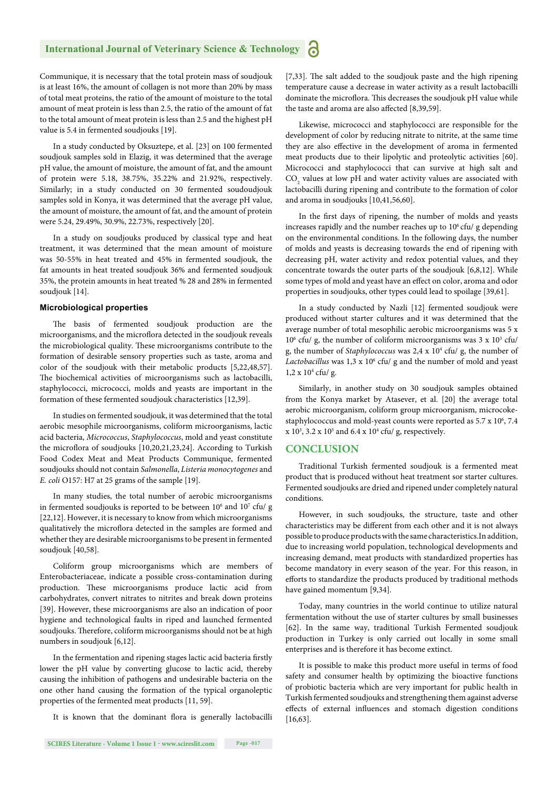Communique, it is necessary that the total protein mass of soudjouk is at least 16%, the amount of collagen is not more than 20% by mass of total meat proteins, the ratio of the amount of moisture to the total amount of meat protein is less than 2.5, the ratio of the amount of fat to the total amount of meat protein is less than 2.5 and the highest pH value is 5.4 in fermented soudjouks [19].

In a study conducted by Oksuztepe, et al. [23] on 100 fermented soudjouk samples sold in Elazig, it was determined that the average pH value, the amount of moisture, the amount of fat, and the amount of protein were 5.18, 38.75%, 35.22% and 21.92%, respectively. Similarly; in a study conducted on 30 fermented soudoudjouk samples sold in Konya, it was determined that the average pH value, the amount of moisture, the amount of fat, and the amount of protein were 5.24, 29.49%, 30.9%, 22.73%, respectively [20].

In a study on soudjouks produced by classical type and heat treatment, it was determined that the mean amount of moisture was 50-55% in heat treated and 45% in fermented soudjouk, the fat amounts in heat treated soudjouk 36% and fermented soudjouk 35%, the protein amounts in heat treated % 28 and 28% in fermented soudjouk [14].

#### **Microbiological properties**

The basis of fermented soudjouk production are the microorganisms, and the microflora detected in the soudjouk reveals the microbiological quality. These microorganisms contribute to the formation of desirable sensory properties such as taste, aroma and color of the soudjouk with their metabolic products [5,22,48,57]. The biochemical activities of microorganisms such as lactobacilli, staphylococci, micrococci, molds and yeasts are important in the formation of these fermented soudjouk characteristics [12,39].

In studies on fermented soudjouk, it was determined that the total aerobic mesophile microorganisms, coliform microorganisms, lactic acid bacteria, *Micrococcus*, *Staphylococcus*, mold and yeast constitute the microflora of soudjouks [10,20,21,23,24]. According to Turkish Food Codex Meat and Meat Products Communique, fermented soudjouks should not contain *Salmonella*, *Listeria monocytogenes* and *E. coli* O157: H7 at 25 grams of the sample [19].

In many studies, the total number of aerobic microorganisms in fermented soudjouks is reported to be between  $10<sup>6</sup>$  and  $10<sup>7</sup>$  cfu/ g [22,12]. However, it is necessary to know from which microorganisms qualitatively the microflora detected in the samples are formed and whether they are desirable microorganisms to be present in fermented soudjouk [40,58].

Coliform group microorganisms which are members of Enterobacteriaceae, indicate a possible cross-contamination during production. These microorganisms produce lactic acid from carbohydrates, convert nitrates to nitrites and break down proteins [39]. However, these microorganisms are also an indication of poor hygiene and technological faults in riped and launched fermented soudjouks. Therefore, coliform microorganisms should not be at high numbers in soudjouk [6,12].

In the fermentation and ripening stages lactic acid bacteria firstly lower the pH value by converting glucose to lactic acid, thereby causing the inhibition of pathogens and undesirable bacteria on the one other hand causing the formation of the typical organoleptic properties of the fermented meat products [11, 59].

It is known that the dominant flora is generally lactobacilli

**SCIRES Literature - Volume 1 Issue 1 - www.scireslit.com Page -017**

[7,33]. The salt added to the soudjouk paste and the high ripening temperature cause a decrease in water activity as a result lactobacilli dominate the microflora. This decreases the soudjouk pH value while the taste and aroma are also affected [8,39,59].

Likewise, micrococci and staphylococci are responsible for the development of color by reducing nitrate to nitrite, at the same time they are also effective in the development of aroma in fermented meat products due to their lipolytic and proteolytic activities [60]. Micrococci and staphylococci that can survive at high salt and  $\mathrm{CO}_2$  values at low pH and water activity values are associated with lactobacilli during ripening and contribute to the formation of color and aroma in soudjouks [10,41,56,60].

In the first days of ripening, the number of molds and yeasts increases rapidly and the number reaches up to  $10^6$  cfu/ g depending on the environmental conditions. In the following days, the number of molds and yeasts is decreasing towards the end of ripening with decreasing pH, water activity and redox potential values, and they concentrate towards the outer parts of the soudjouk [6,8,12]. While some types of mold and yeast have an effect on color, aroma and odor properties in soudjouks, other types could lead to spoilage [39,61].

In a study conducted by Nazli [12] fermented soudjouk were produced without starter cultures and it was determined that the average number of total mesophilic aerobic microorganisms was 5 x  $10<sup>6</sup>$  cfu/ g, the number of coliform microorganisms was 3 x  $10<sup>3</sup>$  cfu/ g, the number of *Staphylococcus* was 2,4 x 10<sup>4</sup> cfu/ g, the number of Lactobacillus was 1,3 x 10<sup>6</sup> cfu/ g and the number of mold and yeast 1,2 x 104 cfu/ g.

Similarly, in another study on 30 soudjouk samples obtained from the Konya market by Atasever, et al. [20] the average total aerobic microorganism, coliform group microorganism, microcokestaphylococcus and mold-yeast counts were reported as 5.7 x 10<sup>6</sup>, 7.4  $x 10^3$ , 3.2  $x 10^5$  and 6.4  $x 10^4$  cfu/ g, respectively.

#### **CONCLUSION**

Traditional Turkish fermented soudjouk is a fermented meat product that is produced without heat treatment sor starter cultures. Fermented soudjouks are dried and ripened under completely natural conditions.

However, in such soudjouks, the structure, taste and other characteristics may be different from each other and it is not always possible to produce products with the same characteristics.In addition, due to increasing world population, technological developments and increasing demand, meat products with standardized properties has become mandatory in every season of the year. For this reason, in efforts to standardize the products produced by traditional methods have gained momentum [9,34].

Today, many countries in the world continue to utilize natural fermentation without the use of starter cultures by small businesses [62]. In the same way, traditional Turkish Fermented soudjouk production in Turkey is only carried out locally in some small enterprises and is therefore it has become extinct.

It is possible to make this product more useful in terms of food safety and consumer health by optimizing the bioactive functions of probiotic bacteria which are very important for public health in Turkish fermented soudjouks and strengthening them against adverse effects of external influences and stomach digestion conditions [16,63].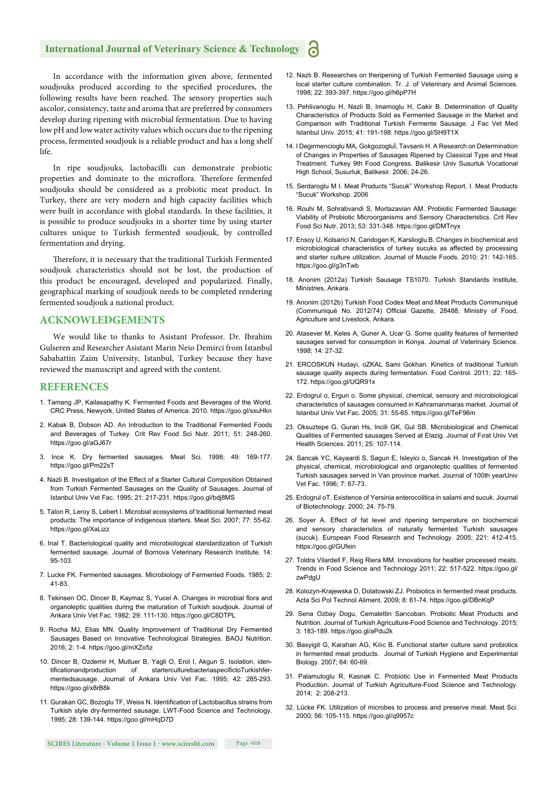#### **International Journal of Veterinary Science & Technology**

In accordance with the information given above, fermented soudjouks produced according to the specified procedures, the following results have been reached. The sensory properties such ascolor, consistency, taste and aroma that are preferred by consumers develop during ripening with microbial fermentation. Due to having low pH and low water activity values which occurs due to the ripening process, fermented soudjouk is a reliable product and has a long shelf life.

In ripe soudjouks, lactobacilli can demonstrate probiotic properties and dominate to the microflora. Therefore fermenfed soudjouks should be considered as a probiotic meat product. In Turkey, there are very modern and high capacity facilities which were built in accordance with global standards. In these facilities, it is possible to produce soudjouks in a shorter time by using starter cultures unique to Turkish fermented soudjouk, by controlled fermentation and drying.

Therefore, it is necessary that the traditional Turkish Fermented soudjouk characteristics should not be lost, the production of this product be encouraged, developed and popularized. Finally, geographical marking of soudjouk needs to be completed rendering fermented soudjouk a national product.

#### **ACKNOWLEDGEMENTS**

We would like to thanks to Asistant Professor. Dr. Ibrahim Gulseren and Researcher Asistant Marin Neio Demirci from Istanbul Sabahattin Zaim University, Istanbul, Turkey because they have reviewed the manuscript and agreed with the content.

#### **REFERENCES**

- 1. Tamang JP, Kailasapathy K. Fermented Foods and Beverages of the World*.*  CRC Press, Newyork, United States of America. 2010. https://goo.gl/sxuHkn
- 2. Kabak B, Dobson AD. An Introduction to the Traditional Fermented Foods and Beverages of Turkey*.* Crit Rev Food Sci Nutr. 2011; 51: 248-260. https://goo.gl/aGJ67r
- 3. Ince K. Dry fermented sausages*.* Meat Sci. 1998; 49: 169-177. https://goo.gl/Pm22sT
- 4. Nazli B. Investigation of the Effect of a Starter Cultural Composition Obtained from Turkish Fermented Sausages on the Quality of Sausages. Journal of Istanbul Univ Vet Fac. 1995; 21: 217-231. https://goo.gl/bdj8MS
- 5. Talon R, Leroy S, Lebert I. Microbial ecosystems of traditional fermented meat products: The importance of indigenous starters. Meat Sci. 2007; 77: 55-62. https://goo.gl/XaLizz
- 6. Inal T. Bacteriological quality and microbiological standardization of Turkish fermented sausage. Journal of Bornova Veterinary Research Institute. 14: 95-103.
- 7. Lucke FK. Fermented sausages. Microbiology of Fermented Foods. 1985; 2: 41-83.
- 8. Tekinsen OC, Dincer B, Kaymaz S, Yucel A. Changes in microbial flora and organoleptic qualities during the maturation of Turkish soudjouk. Journal of Ankara Univ Vet Fac. 1982; 29: 111-130. https://goo.gl/C8DTPL
- 9. Rocha MJ, Elias MN. Quality Improvement of Traditional Dry Fermented Sausages Based on Innovative Technological Strategies. BAOJ Nutrition. 2016; 2: 1-4. https://goo.gl/mXZo5z
- 10. Dincer B, Ozdemir H, Mutluer B, Yagli O, Erol I, Akgun S. Isolation, identificationandproduction of starterculturebacteriaspecifictoTurkishfermentedsausage. Journal of Ankara Univ Vet Fac. 1995; 42: 285-293. https://goo.gl/x8rB8k
- 11. Gurakan GC, Bozoglu TF, Weiss N. Identification of Lactobacillus strains from Turkish style dry-fermented sausage. LWT-Food Science and Technology. 1995; 28: 139-144. https://goo.gl/mHqD7D
- 12. Nazlı B. Researches on theripening of Turkish Fermented Sausage using a local starter culture combination. Tr. J. of Veterinary and Animal Sciences. 1998; 22: 393-397. https://goo.gl/h6pP7H
- 13. Pehlivanoglu H, Nazli B, Imamoglu H, Cakir B. Determination of Quality Characteristics of Products Sold as Fermented Sausage in the Market and Comparison with Traditional Turkish Fermente Sausage. J Fac Vet Med Istanbul Univ. 2015; 41: 191-198. https://goo.gl/SH9T1X
- 14. I Degirmencioglu MA, Gokgozogluİ, Tavsanlı H. A Research on Determination of Changes in Properties of Sausages Ripened by Classical Type and Heat Treatment. Turkey 9th Food Congress. Balikesir Univ Susurluk Vocational High School, Susurluk, Balikesir. 2006; 24-26.
- 15. Serdaroglu M I. Meat Products "Sucuk" Workshop Report. I. Meat Products "Sucuk" Workshop. 2006
- 16. Rouhi M, Sohrabvandi S, Mortazavian AM, Probiotic Fermented Sausage: Viability of Probiotic Microorganisms and Sensory Characteristics. Crit Rev Food Sci Nutr. 2013; 53: 331-348. https://goo.gl/DMTnyx
- 17. Ensoy U, Kolsarici N, Candogan K, Karslioglu B. Changes in biochemical and microbiological characteristics of turkey sucuks as affected by processing and starter culture utilization. Journal of Muscle Foods. 2010; 21: 142-165. https://goo.gl/g3nTwb
- 18. Anonim (2012a) Turkish Sausage TS1070. Turkish Standards Institute, Ministries, Ankara.
- 19. Anonim (2012b) Turkish Food Codex Meat and Meat Products Communiqué (Communiqué No. 2012/74) Official Gazette, 28488, Ministry of Food, Agriculture and Livestock, Ankara.
- 20. Atasever M, Keles A, Guner A, Ucar G. Some quality features of fermented sausages served for consumption in Konya. Journal of Veterinary Science. 1998; 14: 27-32.
- 21. ERCOSKUN Hudayi, oZKAL Sami Gokhan. Kinetics of traditional Turkish sausage quality aspects during fermentation. Food Control. 2011; 22: 165- 172. https://goo.gl/UQR91x
- 22. Erdogrul o, Ergun o. Some physical, chemical, sensory and microbiological characteristics of sausages consumed in Kahramanmaras market. Journal of Istanbul Univ Vet Fac. 2005; 31: 55-65. https://goo.gl/TeF96m
- 23. Oksuztepe G, Guran Hs, Incili GK, Gul SB. Microbiological and Chemical Qualities of Fermented sausages Served at Elazig. Journal of Fırat Univ Vet Health Sciences. 2011; 25: 107-114.
- 24. Sancak YC, Kayaardi S, Sagun E, Isleyici o, Sancak H. Investigation of the physical, chemical, microbiological and organoleptic qualities of fermented Turkish sausages served in Van province market. Journal of 100th yearUniv Vet Fac. 1996; 7: 67-73.
- 25. Erdogrul oT. Existence of Yersinia enterocolitica in salami and sucuk. Journal of Biotechnology. 2000; 24: 75-79.
- 26. Soyer A. Effect of fat level and ripening temperature on biochemical and sensory characteristics of naturally fermented Turkish sausages (sucuk). European Food Research and Technology. 2005; 221: 412-415. https://goo.gl/GUfein
- 27. Toldra Vilardell F, Reig Riera MM. Innovations for healtier processed meats. Trends in Food Science and Technology 2011; 22: 517-522. https://goo.gl/ zwPdgU
- 28. Kolozyn-Krajewska D, Dolatowski ZJ. Probiotics in fermented meat products. Acta Sci Pol Technol Aliment. 2009; 8: 61-74. https://goo.gl/DBnKqP
- 29. Sena Ozbay Dogu, Cemalettin Sarıcoban. Probiotic Meat Products and Nutrition. Journal of Turkish Agriculture-Food Science and Technology. 2015; 3: 183-189. https://goo.gl/aPdu2k
- 30. Basyigit G, Karahan AG, Kılıc B. Functional starter culture sand probiotics in fermented meat products. Journal of Turkish Hygiene and Experimental Biology. 2007; 64: 60-69.
- 31. Palamutoglu R, Kasnak C. Probiotic Use in Fermented Meat Products Production. Journal of Turkish Agriculture-Food Science and Technology. 2014; 2: 208-213.
- 32. Lücke FK. Utilization of microbes to process and preserve meat. Meat Sci. 2000; 56: 105-115. https://goo.gl/q9957c